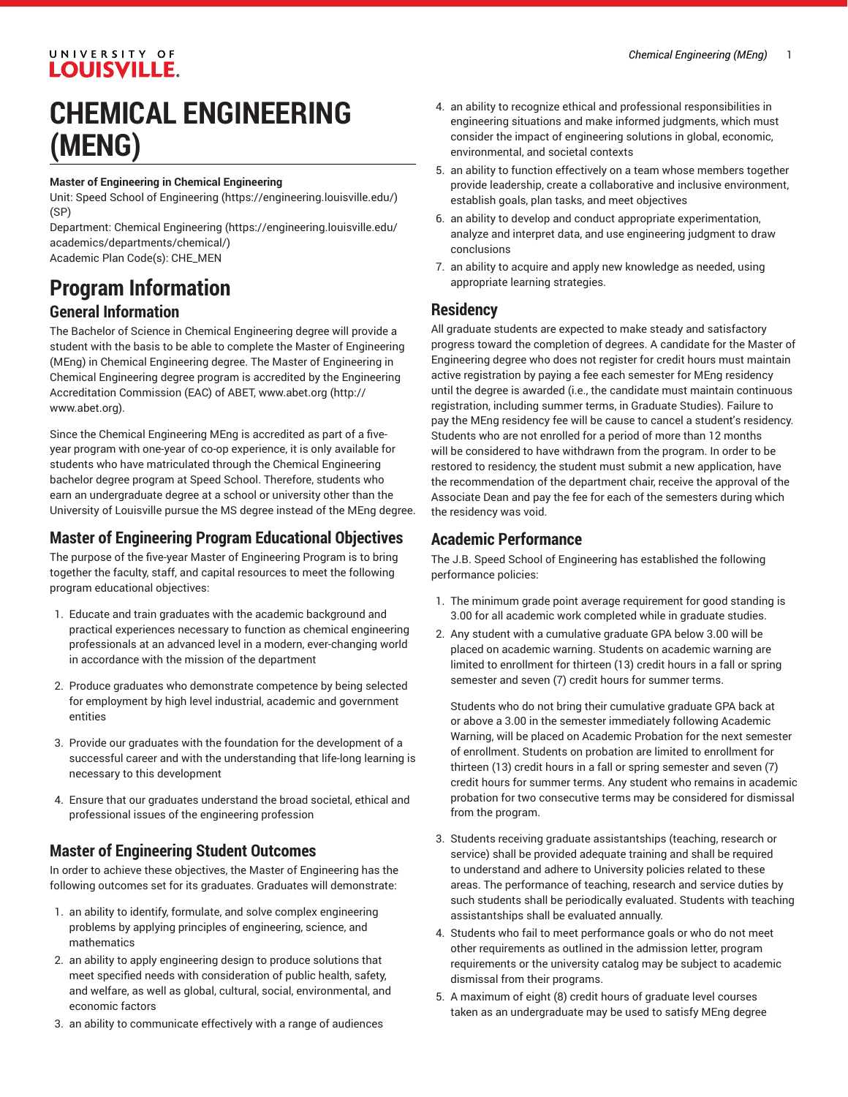#### UNIVERSITY OF **LOUISVILLE.**

# **CHEMICAL ENGINEERING (MENG)**

#### **Master of Engineering in Chemical Engineering**

Unit: [Speed School of Engineering](https://engineering.louisville.edu/) ([https://engineering.louisville.edu/\)](https://engineering.louisville.edu/) (SP)

Department: [Chemical Engineering \(https://engineering.louisville.edu/](https://engineering.louisville.edu/academics/departments/chemical/) [academics/departments/chemical/\)](https://engineering.louisville.edu/academics/departments/chemical/) Academic Plan Code(s): CHE\_MEN

## **Program Information**

#### **General Information**

The Bachelor of Science in Chemical Engineering degree will provide a student with the basis to be able to complete the Master of Engineering (MEng) in Chemical Engineering degree. The Master of Engineering in Chemical Engineering degree program is accredited by the Engineering Accreditation Commission (EAC) of ABET, [www.abet.org](http://www.abet.org) [\(http://](http://www.abet.org) [www.abet.org\)](http://www.abet.org).

Since the Chemical Engineering MEng is accredited as part of a fiveyear program with one-year of co-op experience, it is only available for students who have matriculated through the Chemical Engineering bachelor degree program at Speed School. Therefore, students who earn an undergraduate degree at a school or university other than the University of Louisville pursue the MS degree instead of the MEng degree.

#### **Master of Engineering Program Educational Objectives**

The purpose of the five-year Master of Engineering Program is to bring together the faculty, staff, and capital resources to meet the following program educational objectives:

- 1. Educate and train graduates with the academic background and practical experiences necessary to function as chemical engineering professionals at an advanced level in a modern, ever-changing world in accordance with the mission of the department
- 2. Produce graduates who demonstrate competence by being selected for employment by high level industrial, academic and government entities
- 3. Provide our graduates with the foundation for the development of a successful career and with the understanding that life-long learning is necessary to this development
- 4. Ensure that our graduates understand the broad societal, ethical and professional issues of the engineering profession

#### **Master of Engineering Student Outcomes**

In order to achieve these objectives, the Master of Engineering has the following outcomes set for its graduates. Graduates will demonstrate:

- 1. an ability to identify, formulate, and solve complex engineering problems by applying principles of engineering, science, and mathematics
- 2. an ability to apply engineering design to produce solutions that meet specified needs with consideration of public health, safety, and welfare, as well as global, cultural, social, environmental, and economic factors
- 3. an ability to communicate effectively with a range of audiences
- 4. an ability to recognize ethical and professional responsibilities in engineering situations and make informed judgments, which must consider the impact of engineering solutions in global, economic, environmental, and societal contexts
- 5. an ability to function effectively on a team whose members together provide leadership, create a collaborative and inclusive environment, establish goals, plan tasks, and meet objectives
- 6. an ability to develop and conduct appropriate experimentation, analyze and interpret data, and use engineering judgment to draw conclusions
- 7. an ability to acquire and apply new knowledge as needed, using appropriate learning strategies.

#### **Residency**

All graduate students are expected to make steady and satisfactory progress toward the completion of degrees. A candidate for the Master of Engineering degree who does not register for credit hours must maintain active registration by paying a fee each semester for MEng residency until the degree is awarded (i.e., the candidate must maintain continuous registration, including summer terms, in Graduate Studies). Failure to pay the MEng residency fee will be cause to cancel a student's residency. Students who are not enrolled for a period of more than 12 months will be considered to have withdrawn from the program. In order to be restored to residency, the student must submit a new application, have the recommendation of the department chair, receive the approval of the Associate Dean and pay the fee for each of the semesters during which the residency was void.

#### **Academic Performance**

The J.B. Speed School of Engineering has established the following performance policies:

- 1. The minimum grade point average requirement for good standing is 3.00 for all academic work completed while in graduate studies.
- 2. Any student with a cumulative graduate GPA below 3.00 will be placed on academic warning. Students on academic warning are limited to enrollment for thirteen (13) credit hours in a fall or spring semester and seven (7) credit hours for summer terms.

Students who do not bring their cumulative graduate GPA back at or above a 3.00 in the semester immediately following Academic Warning, will be placed on Academic Probation for the next semester of enrollment. Students on probation are limited to enrollment for thirteen (13) credit hours in a fall or spring semester and seven (7) credit hours for summer terms. Any student who remains in academic probation for two consecutive terms may be considered for dismissal from the program.

- 3. Students receiving graduate assistantships (teaching, research or service) shall be provided adequate training and shall be required to understand and adhere to University policies related to these areas. The performance of teaching, research and service duties by such students shall be periodically evaluated. Students with teaching assistantships shall be evaluated annually.
- 4. Students who fail to meet performance goals or who do not meet other requirements as outlined in the admission letter, program requirements or the university catalog may be subject to academic dismissal from their programs.
- 5. A maximum of eight (8) credit hours of graduate level courses taken as an undergraduate may be used to satisfy MEng degree